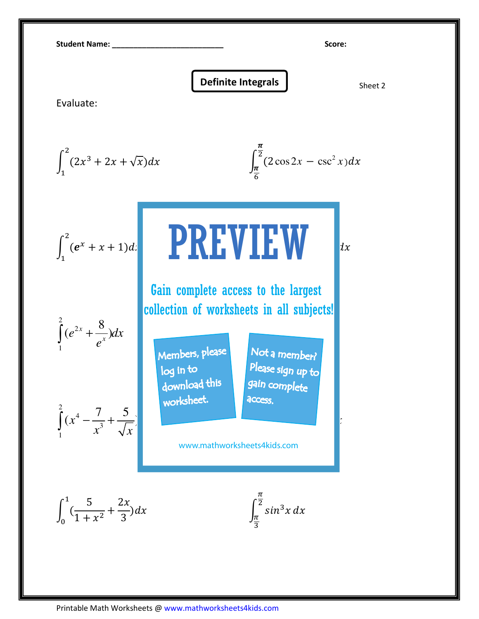